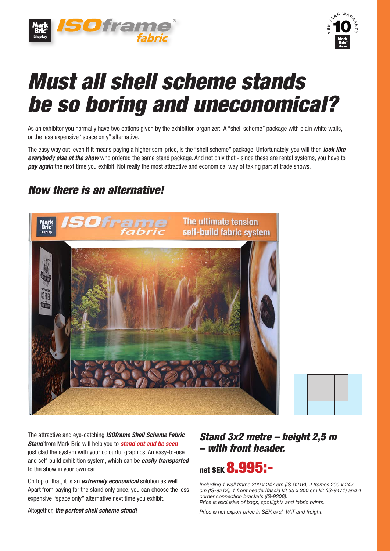



# *Must all shell scheme stands be so boring and uneconomical?*

As an exhibitor you normally have two options given by the exhibition organizer: A "shell scheme" package with plain white walls, or the less expensive "space only" alternative.

The easy way out, even if it means paying a higher sqm-price, is the "shell scheme" package. Unfortunately, you will then *look like everybody else at the show* who ordered the same stand package. And not only that - since these are rental systems, you have to *pay again* the next time you exhibit. Not really the most attractive and economical way of taking part at trade shows.

## *Now there is an alternative!*



The attractive and eye-catching *ISOframe Shell Scheme Fabric Stand* from Mark Bric will help you to *stand out and be seen* – just clad the system with your colourful graphics. An easy-to-use and self-build exhibition system, which can be *easily transported* to the show in your own car.

On top of that, it is an *extremely economical* solution as well. Apart from paying for the stand only once, you can choose the less expensive "space only" alternative next time you exhibit.

Altogether, *the perfect shell scheme stand!*

### *Stand 3x2 metre – height 2,5 m – with front header.*

# net SFK **8.995:-**

*Including 1 wall frame 300 x 247 cm (IS-9216), 2 frames 200 x 247 cm (IS-9212), 1 front header/fascia kit 35 x 300 cm kit (IS-9471) and 4 corner connection brackets (IS-9306). Price is exclusive of bags, spotlights and fabric prints.*

*Price is net export price in SEK excl. VAT and freight.*